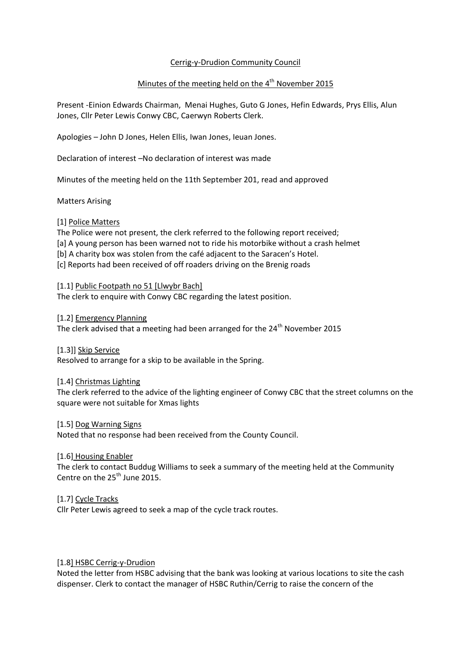# Cerrig-y-Drudion Community Council

# Minutes of the meeting held on the 4<sup>th</sup> November 2015

Present -Einion Edwards Chairman, Menai Hughes, Guto G Jones, Hefin Edwards, Prys Ellis, Alun Jones, Cllr Peter Lewis Conwy CBC, Caerwyn Roberts Clerk.

Apologies – John D Jones, Helen Ellis, Iwan Jones, Ieuan Jones.

Declaration of interest –No declaration of interest was made

Minutes of the meeting held on the 11th September 201, read and approved

Matters Arising

# [1] Police Matters

The Police were not present, the clerk referred to the following report received; [a] A young person has been warned not to ride his motorbike without a crash helmet [b] A charity box was stolen from the café adjacent to the Saracen's Hotel. [c] Reports had been received of off roaders driving on the Brenig roads

[1.1] Public Footpath no 51 [Llwybr Bach] The clerk to enquire with Conwy CBC regarding the latest position.

[1.2] Emergency Planning

The clerk advised that a meeting had been arranged for the 24<sup>th</sup> November 2015

[1.3]] Skip Service Resolved to arrange for a skip to be available in the Spring.

[1.4] Christmas Lighting

The clerk referred to the advice of the lighting engineer of Conwy CBC that the street columns on the square were not suitable for Xmas lights

[1.5] Dog Warning Signs

Noted that no response had been received from the County Council.

[1.6] Housing Enabler

The clerk to contact Buddug Williams to seek a summary of the meeting held at the Community Centre on the 25<sup>th</sup> June 2015.

[1.7] Cycle Tracks

Cllr Peter Lewis agreed to seek a map of the cycle track routes.

## [1.8] HSBC Cerrig-y-Drudion

Noted the letter from HSBC advising that the bank was looking at various locations to site the cash dispenser. Clerk to contact the manager of HSBC Ruthin/Cerrig to raise the concern of the